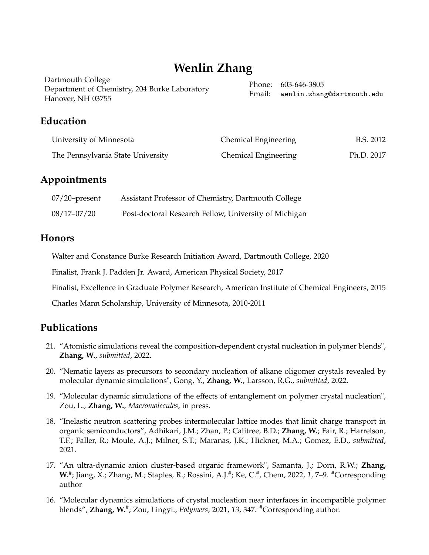# **Wenlin Zhang**

| Dartmouth College                             | Phone: 603-646-3805               |
|-----------------------------------------------|-----------------------------------|
| Department of Chemistry, 204 Burke Laboratory |                                   |
|                                               | Email: wenlin.zhang@dartmouth.edu |
| Hanover, NH 03755                             |                                   |

## **Education**

| University of Minnesota           | <b>Chemical Engineering</b> | B.S. 2012  |
|-----------------------------------|-----------------------------|------------|
| The Pennsylvania State University | Chemical Engineering        | Ph.D. 2017 |

## **Appointments**

| $07/20$ -present | Assistant Professor of Chemistry, Dartmouth College   |
|------------------|-------------------------------------------------------|
| $08/17 - 07/20$  | Post-doctoral Research Fellow, University of Michigan |

### **Honors**

Walter and Constance Burke Research Initiation Award, Dartmouth College, 2020

Finalist, Frank J. Padden Jr. Award, American Physical Society, 2017

Finalist, Excellence in Graduate Polymer Research, American Institute of Chemical Engineers, 2015

Charles Mann Scholarship, University of Minnesota, 2010-2011

## **Publications**

- 21. "Atomistic simulations reveal the composition-dependent crystal nucleation in polymer blends", **Zhang, W.**, *submitted*, 2022.
- 20. "Nematic layers as precursors to secondary nucleation of alkane oligomer crystals revealed by molecular dynamic simulations", Gong, Y., **Zhang, W.**, Larsson, R.G., *submitted*, 2022.
- 19. "Molecular dynamic simulations of the effects of entanglement on polymer crystal nucleation", Zou, L., **Zhang, W.**, *Macromolecules*, in press.
- 18. "Inelastic neutron scattering probes intermolecular lattice modes that limit charge transport in organic semiconductors", Adhikari, J.M.; Zhan, P.; Calitree, B.D.; **Zhang, W.**; Fair, R.; Harrelson, T.F.; Faller, R.; Moule, A.J.; Milner, S.T.; Maranas, J.K.; Hickner, M.A.; Gomez, E.D., *submitted*, 2021.
- 17. "An ultra-dynamic anion cluster-based organic framework", Samanta, J.; Dorn, R.W.; **Zhang, W.**#; Jiang, X.; Zhang, M.; Staples, R.; Rossini, A.J.#; Ke, C.#, Chem, 2022, 1, 7–9. #Corresponding author
- 16. "Molecular dynamics simulations of crystal nucleation near interfaces in incompatible polymer blends", **Zhang, W.**# ; Zou, Lingyi., *Polymers*, 2021, *13*, 347. #Corresponding author.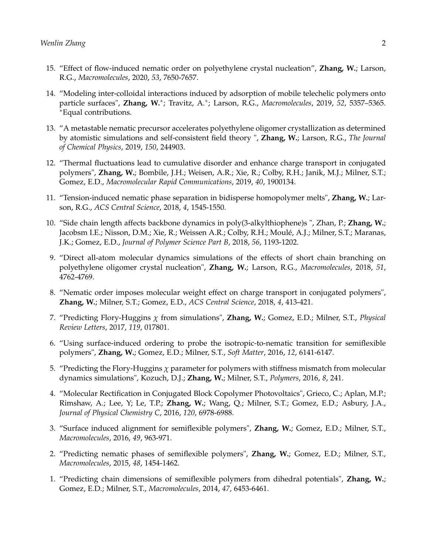- 15. "Effect of flow-induced nematic order on polyethylene crystal nucleation", **Zhang, W.**; Larson, R.G., *Macromolecules*, 2020, *53*, 7650-7657.
- 14. "Modeling inter-colloidal interactions induced by adsorption of mobile telechelic polymers onto particle surfaces", Zhang, W.\*; Travitz, A.\*; Larson, R.G., Macromolecules, 2019, 52, 5357-5365. <sup>∗</sup>Equal contributions.
- 13. "A metastable nematic precursor accelerates polyethylene oligomer crystallization as determined by atomistic simulations and self-consistent field theory ", **Zhang, W.**; Larson, R.G., *The Journal of Chemical Physics*, 2019, *150*, 244903.
- 12. "Thermal fluctuations lead to cumulative disorder and enhance charge transport in conjugated polymers", **Zhang, W.**; Bombile, J.H.; Weisen, A.R.; Xie, R.; Colby, R.H.; Janik, M.J.; Milner, S.T.; Gomez, E.D., *Macromolecular Rapid Communications*, 2019, *40*, 1900134.
- 11. "Tension-induced nematic phase separation in bidisperse homopolymer melts", **Zhang, W.**; Larson, R.G., *ACS Central Science*, 2018, *4*, 1545-1550.
- 10. "Side chain length affects backbone dynamics in poly(3-alkylthiophene)s ", Zhan, P.; **Zhang, W.**; Jacobsm I.E.; Nisson, D.M.; Xie, R.; Weissen A.R.; Colby, R.H.; Moulé, A.J.; Milner, S.T.; Maranas, J.K.; Gomez, E.D., *Journal of Polymer Science Part B*, 2018, *56*, 1193-1202.
- 9. "Direct all-atom molecular dynamics simulations of the effects of short chain branching on polyethylene oligomer crystal nucleation", **Zhang, W.**; Larson, R.G., *Macromolecules*, 2018, *51*, 4762-4769.
- 8. "Nematic order imposes molecular weight effect on charge transport in conjugated polymers", **Zhang, W.**; Milner, S.T.; Gomez, E.D., *ACS Central Science*, 2018, *4*, 413-421.
- 7. "Predicting Flory-Huggins *χ* from simulations", **Zhang, W.**; Gomez, E.D.; Milner, S.T., *Physical Review Letters*, 2017, *119*, 017801.
- 6. "Using surface-induced ordering to probe the isotropic-to-nematic transition for semiflexible polymers", **Zhang, W.**; Gomez, E.D.; Milner, S.T., *Soft Matter*, 2016, *12*, 6141-6147.
- 5. "Predicting the Flory-Huggins *χ* parameter for polymers with stiffness mismatch from molecular dynamics simulations", Kozuch, D.J.; **Zhang, W.**; Milner, S.T., *Polymers*, 2016, *8*, 241.
- 4. "Molecular Rectification in Conjugated Block Copolymer Photovoltaics", Grieco, C.; Aplan, M.P.; Rimshaw, A.; Lee, Y; Le, T.P.; **Zhang, W.**; Wang, Q.; Milner, S.T.; Gomez, E.D.; Asbury, J.A., *Journal of Physical Chemistry C*, 2016, *120*, 6978-6988.
- 3. "Surface induced alignment for semiflexible polymers", **Zhang, W.**; Gomez, E.D.; Milner, S.T., *Macromolecules*, 2016, *49*, 963-971.
- 2. "Predicting nematic phases of semiflexible polymers", **Zhang, W.**; Gomez, E.D.; Milner, S.T., *Macromolecules*, 2015, *48*, 1454-1462.
- 1. "Predicting chain dimensions of semiflexible polymers from dihedral potentials", **Zhang, W.**; Gomez, E.D.; Milner, S.T., *Macromolecules*, 2014, *47*, 6453-6461.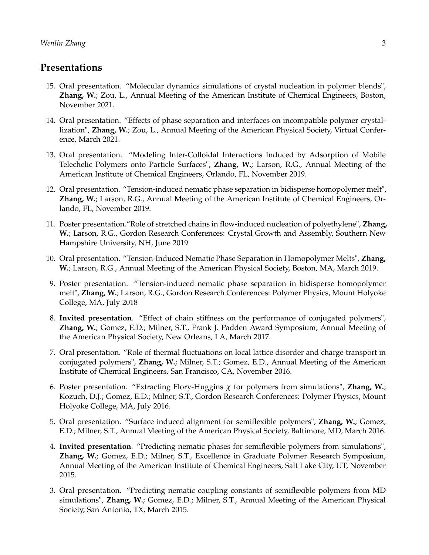#### **Presentations**

- 15. Oral presentation. "Molecular dynamics simulations of crystal nucleation in polymer blends", **Zhang, W.**; Zou, L., Annual Meeting of the American Institute of Chemical Engineers, Boston, November 2021.
- 14. Oral presentation. "Effects of phase separation and interfaces on incompatible polymer crystallization", **Zhang, W.**; Zou, L., Annual Meeting of the American Physical Society, Virtual Conference, March 2021.
- 13. Oral presentation. "Modeling Inter-Colloidal Interactions Induced by Adsorption of Mobile Telechelic Polymers onto Particle Surfaces", **Zhang, W.**; Larson, R.G., Annual Meeting of the American Institute of Chemical Engineers, Orlando, FL, November 2019.
- 12. Oral presentation. "Tension-induced nematic phase separation in bidisperse homopolymer melt", **Zhang, W.**; Larson, R.G., Annual Meeting of the American Institute of Chemical Engineers, Orlando, FL, November 2019.
- 11. Poster presentation."Role of stretched chains in flow-induced nucleation of polyethylene", **Zhang, W.**; Larson, R.G., Gordon Research Conferences: Crystal Growth and Assembly, Southern New Hampshire University, NH, June 2019
- 10. Oral presentation. "Tension-Induced Nematic Phase Separation in Homopolymer Melts", **Zhang, W.**; Larson, R.G., Annual Meeting of the American Physical Society, Boston, MA, March 2019.
- 9. Poster presentation. "Tension-induced nematic phase separation in bidisperse homopolymer melt", **Zhang, W.**; Larson, R.G., Gordon Research Conferences: Polymer Physics, Mount Holyoke College, MA, July 2018
- 8. **Invited presentation**. "Effect of chain stiffness on the performance of conjugated polymers", **Zhang, W.**; Gomez, E.D.; Milner, S.T., Frank J. Padden Award Symposium, Annual Meeting of the American Physical Society, New Orleans, LA, March 2017.
- 7. Oral presentation. "Role of thermal fluctuations on local lattice disorder and charge transport in conjugated polymers", **Zhang, W.**; Milner, S.T.; Gomez, E.D., Annual Meeting of the American Institute of Chemical Engineers, San Francisco, CA, November 2016.
- 6. Poster presentation. "Extracting Flory-Huggins *χ* for polymers from simulations", **Zhang, W.**; Kozuch, D.J.; Gomez, E.D.; Milner, S.T., Gordon Research Conferences: Polymer Physics, Mount Holyoke College, MA, July 2016.
- 5. Oral presentation. "Surface induced alignment for semiflexible polymers", **Zhang, W.**; Gomez, E.D.; Milner, S.T., Annual Meeting of the American Physical Society, Baltimore, MD, March 2016.
- 4. **Invited presentation**. "Predicting nematic phases for semiflexible polymers from simulations", **Zhang, W.**; Gomez, E.D.; Milner, S.T., Excellence in Graduate Polymer Research Symposium, Annual Meeting of the American Institute of Chemical Engineers, Salt Lake City, UT, November 2015.
- 3. Oral presentation. "Predicting nematic coupling constants of semiflexible polymers from MD simulations", **Zhang, W.**; Gomez, E.D.; Milner, S.T., Annual Meeting of the American Physical Society, San Antonio, TX, March 2015.